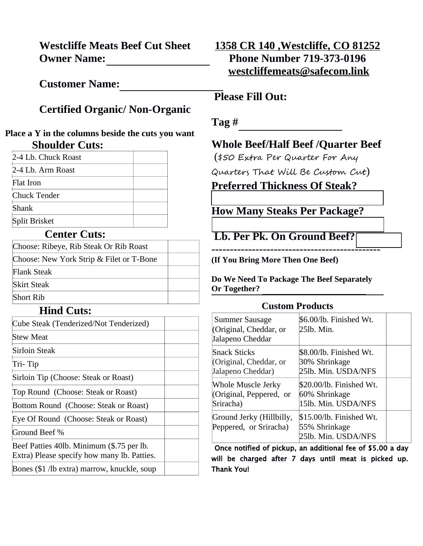**Westcliffe Meats Beef Cut Sheet Owner Name:** 

**Customer Name:**

## **Certified Organic/ Non-Organic**

#### **Place a Y in the columns beside the cuts you want Shoulder Cuts:**

| 2-4 Lb. Chuck Roast |  |
|---------------------|--|
| 2-4 L.b. Arm Roast  |  |
| <b>Flat Iron</b>    |  |
| Chuck Tender        |  |
| Shank               |  |
| Split Brisket       |  |

#### **Center Cuts:**

| Choose: Ribeye, Rib Steak Or Rib Roast   |  |
|------------------------------------------|--|
| Choose: New York Strip & Filet or T-Bone |  |
| <b>Flank Steak</b>                       |  |
| <b>Skirt Steak</b>                       |  |
| <b>Short Rib</b>                         |  |

#### **Hind Cuts:**

| Cube Steak (Tenderized/Not Tenderized)                                                   |  |
|------------------------------------------------------------------------------------------|--|
| Stew Meat                                                                                |  |
| Sirloin Steak                                                                            |  |
| Tri- Tip                                                                                 |  |
| Sirloin Tip (Choose: Steak or Roast)                                                     |  |
| Top Round (Choose: Steak or Roast)                                                       |  |
| Bottom Round (Choose: Steak or Roast)                                                    |  |
| Eye Of Round (Choose: Steak or Roast)                                                    |  |
| Ground Beef %                                                                            |  |
| Beef Patties 40lb. Minimum (\$.75 per lb.<br>Extra) Please specify how many lb. Patties. |  |
| Bones (\$1 /lb extra) marrow, knuckle, soup                                              |  |

## **1358 CR 140 ,Westcliffe, CO 81252 Phone Number 719-373-0196 [westcliffemeats@safecom.link](mailto:westcliffemeats@safecom.link)**

### **Please Fill Out:**

**Tag #** 

### **Whole Beef/Half Beef /Quarter Beef**

(\$50 Extra Per Quarter For Any Quarters That Will Be Custom Cut) **Preferred Thickness Of Steak?** 

# **How Many Steaks Per Package?**

 **Lb. Per Pk. On Ground Beef?** 

**----------------------------------------------**

**(If You Bring More Then One Beef)**

**Do We Need To Package The Beef Separately Or Together?**

#### **Custom Products**

| Summer Sausage<br>(Original, Cheddar, or<br>Jalapeno Cheddar | \$6.00/lb. Finished Wt.<br>25lb. Min.                            |
|--------------------------------------------------------------|------------------------------------------------------------------|
| <b>Snack Sticks</b>                                          | \$8.00/lb. Finished Wt.                                          |
| (Original, Cheddar, or                                       | 30% Shrinkage                                                    |
| Jalapeno Cheddar)                                            | 25lb. Min. USDA/NFS                                              |
| Whole Muscle Jerky                                           | \$20.00/lb. Finished Wt.                                         |
| (Original, Peppered, or                                      | 60% Shrinkage                                                    |
| Sriracha)                                                    | 15lb. Min. USDA/NFS                                              |
| Ground Jerky (Hillbilly,<br>Peppered, or Sriracha)           | \$15.00/lb. Finished Wt.<br>55% Shrinkage<br>25lb. Min. USDA/NFS |

Once notified of pickup, an additional fee of \$5.00 a day will be charged after 7 days until meat is picked up. Thank You!